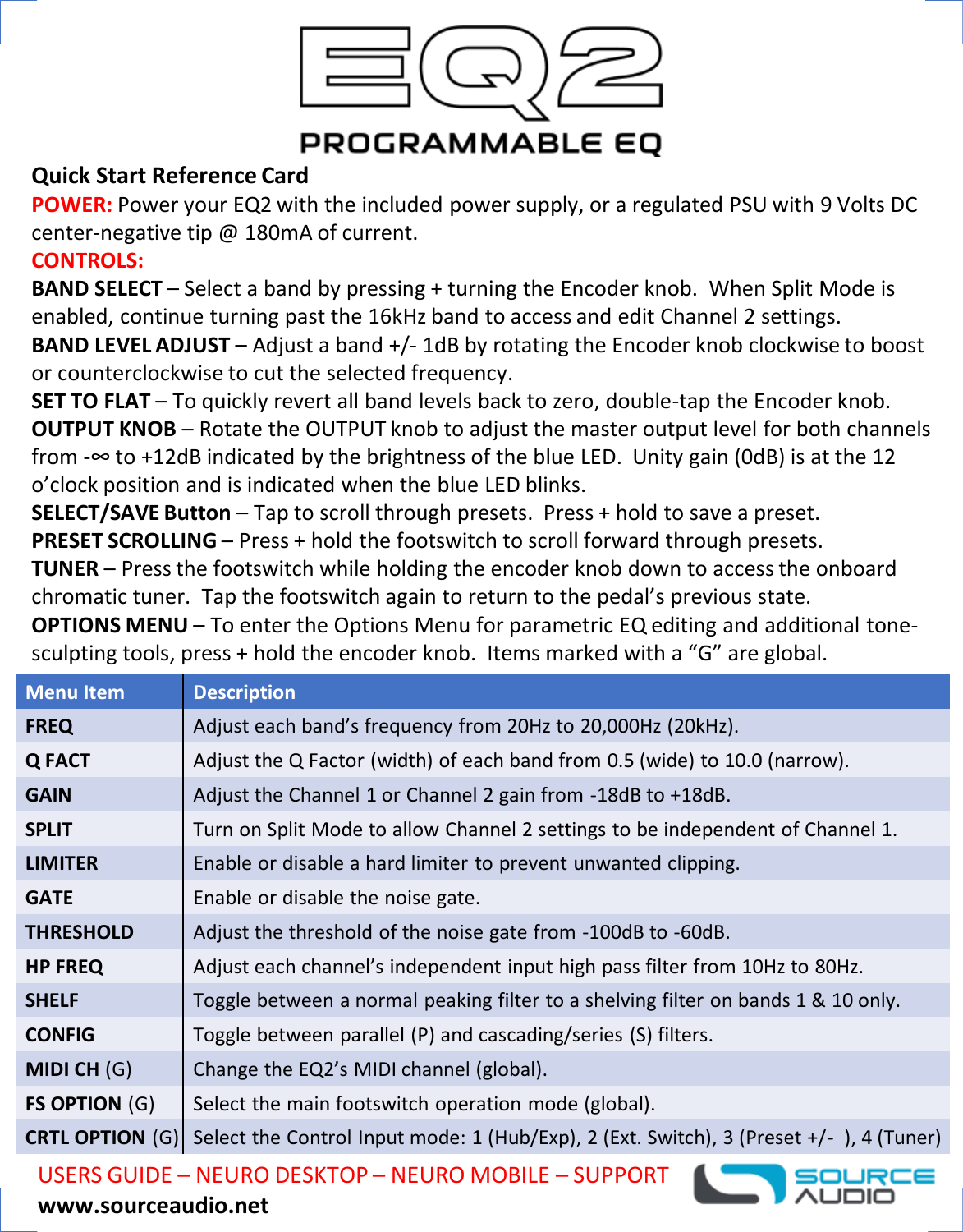

# **PROGRAMMABLE EO**

#### **Quick Start Reference Card**

**POWER:** Power your EQ2 with the included power supply, or a regulated PSU with 9 Volts DC center-negative tip @ 180mA of current.

### **CONTROLS:**

**BAND SELECT** – Select a band by pressing + turning the Encoder knob. When Split Mode is enabled, continue turning past the 16kHz band to access and edit Channel 2 settings.

**BAND LEVEL ADJUST** – Adjust a band +/- 1dB by rotating the Encoder knob clockwise to boost or counterclockwise to cut the selected frequency.

**SET TO FLAT** – To quickly revert all band levels back to zero, double-tap the Encoder knob. **OUTPUT KNOB** – Rotate the OUTPUT knob to adjust the master output level for both channels from -∞ to +12dB indicated by the brightness of the blue LED. Unity gain (0dB) is at the 12 o'clock position and is indicated when the blue LED blinks.

**SELECT/SAVE Button** – Tap to scroll through presets. Press + hold to save a preset. **PRESET SCROLLING** – Press + hold the footswitch to scroll forward through presets.

**TUNER** – Press the footswitch while holding the encoder knob down to access the onboard chromatic tuner. Tap the footswitch again to return to the pedal's previous state.

**OPTIONS MENU** – To enter the Options Menu for parametric EQ editing and additional tonesculpting tools, press + hold the encoder knob. Items marked with a "G" are global.

| <b>Menu Item</b>       | <b>Description</b>                                                                     |
|------------------------|----------------------------------------------------------------------------------------|
| <b>FREQ</b>            | Adjust each band's frequency from 20Hz to 20,000Hz (20kHz).                            |
| Q FACT                 | Adjust the Q Factor (width) of each band from 0.5 (wide) to 10.0 (narrow).             |
| <b>GAIN</b>            | Adjust the Channel 1 or Channel 2 gain from -18dB to +18dB.                            |
| <b>SPLIT</b>           | Turn on Split Mode to allow Channel 2 settings to be independent of Channel 1.         |
| <b>LIMITER</b>         | Enable or disable a hard limiter to prevent unwanted clipping.                         |
| <b>GATE</b>            | Enable or disable the noise gate.                                                      |
| <b>THRESHOLD</b>       | Adjust the threshold of the noise gate from -100dB to -60dB.                           |
| <b>HP FREQ</b>         | Adjust each channel's independent input high pass filter from 10Hz to 80Hz.            |
| <b>SHELF</b>           | Toggle between a normal peaking filter to a shelving filter on bands 1 & 10 only.      |
| <b>CONFIG</b>          | Toggle between parallel (P) and cascading/series (S) filters.                          |
| MIDI CH (G)            | Change the EQ2's MIDI channel (global).                                                |
| <b>FS OPTION (G)</b>   | Select the main footswitch operation mode (global).                                    |
| <b>CRTL OPTION (G)</b> | Select the Control Input mode: 1 (Hub/Exp), 2 (Ext. Switch), 3 (Preset +/-), 4 (Tuner) |
|                        |                                                                                        |

USERS GUIDE – NEURO DESKTOP – NEURO MOBILE – SUPPORT

#### **www.sourceaudio.net**